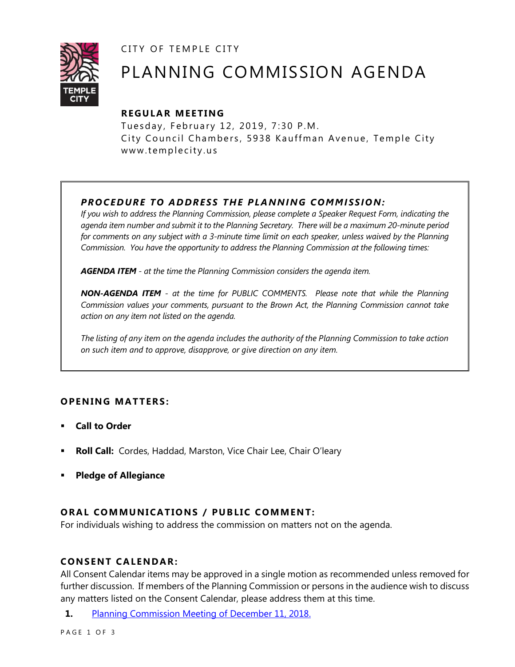CITY OF TEMPLE CITY



# PLANNING COMMISSION AGENDA

# **R EGULA R MEE TING**

Tuesday, February 12, 2019, 7:30 P.M. City Council Chambers, 5938 Kauffman Avenue, Temple City www.templecity.us

# *PRO CE DURE TO ADDRE SS THE P LA NNI NG COMM I SSION:*

*If you wish to address the Planning Commission, please complete a Speaker Request Form, indicating the agenda item number and submit it to the Planning Secretary. There will be a maximum 20-minute period*  for comments on any subject with a 3-minute time limit on each speaker, unless waived by the Planning *Commission. You have the opportunity to address the Planning Commission at the following times:*

*AGENDA ITEM - at the time the Planning Commission considers the agenda item.*

*NON-AGENDA ITEM - at the time for PUBLIC COMMENTS. Please note that while the Planning Commission values your comments, pursuant to the Brown Act, the Planning Commission cannot take action on any item not listed on the agenda.*

*The listing of any item on the agenda includes the authority of the Planning Commission to take action on such item and to approve, disapprove, or give direction on any item.*

## **OPENING MATTERS:**

- **Call to Order**
- **Roll Call:** Cordes, Haddad, Marston, Vice Chair Lee, Chair O'leary
- **Pledge of Allegiance**

## **ORAL COMMUNICATIONS / PUBLIC COMMENT:**

For individuals wishing to address the commission on matters not on the agenda.

#### **CONSENT CA LENDAR:**

All Consent Calendar items may be approved in a single motion as recommended unless removed for further discussion. If members of the Planning Commission or persons in the audience wish to discuss any matters listed on the Consent Calendar, please address them at this time.

**1.** [Planning Commission Meeting of December 11, 2018.](https://www.ci.temple-city.ca.us/DocumentCenter/View/12004/PCM-1211)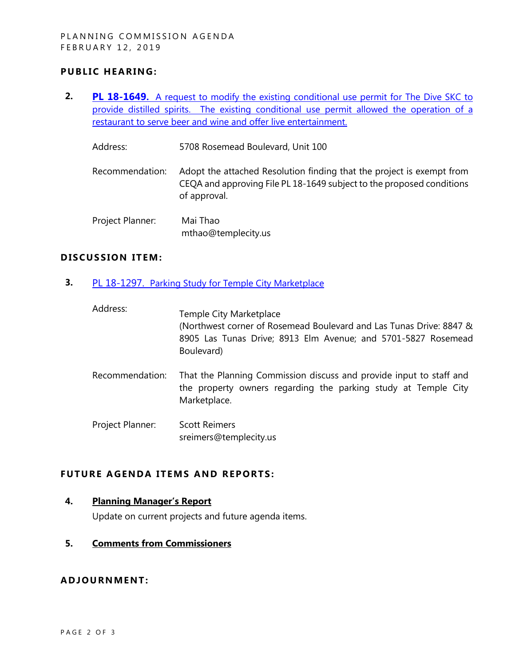### **PUBLIC HEARING:**

**2. PL 18-1649.** [A request to modify the existing conditional use permit for The Dive SKC](https://www.ci.temple-city.ca.us/DocumentCenter/View/12005/Item-1-A-Modification-of-an-approved-Conditional-use-permit-) to [provide distilled spirits. The existing conditional use permit allowed the operation of a](https://www.ci.temple-city.ca.us/DocumentCenter/View/12005/Item-1-A-Modification-of-an-approved-Conditional-use-permit-)  [restaurant to serve beer and wine and offer live entertainment.](https://www.ci.temple-city.ca.us/DocumentCenter/View/12005/Item-1-A-Modification-of-an-approved-Conditional-use-permit-)

Address: 5708 Rosemead Boulevard, Unit 100

- Recommendation: Adopt the attached Resolution finding that the project is exempt from CEQA and approving File PL 18-1649 subject to the proposed conditions of approval.
- Project Planner: Mai Thao mthao@templecity.us

#### **D ISCUSSION ITEM :**

**3.** PL 18-1297. [Parking Study for Temple City Marketplace](https://www.ci.temple-city.ca.us/DocumentCenter/View/12002/Staff-Report_PL-18-1297_02_12_2019_Temple-City-Marketplace)

| Address:         | Temple City Marketplace<br>(Northwest corner of Rosemead Boulevard and Las Tunas Drive: 8847 &<br>8905 Las Tunas Drive; 8913 Elm Avenue; and 5701-5827 Rosemead<br>Boulevard) |
|------------------|-------------------------------------------------------------------------------------------------------------------------------------------------------------------------------|
| Recommendation:  | That the Planning Commission discuss and provide input to staff and<br>the property owners regarding the parking study at Temple City<br>Marketplace.                         |
| Project Planner: | <b>Scott Reimers</b><br>sreimers@templecity.us                                                                                                                                |

## **FUTURE AGENDA ITEMS AND REPORTS:**

**4. Planning Manager's Report**

Update on current projects and future agenda items.

**5. Comments from Commissioners**

#### **ADJOU RNMENT:**